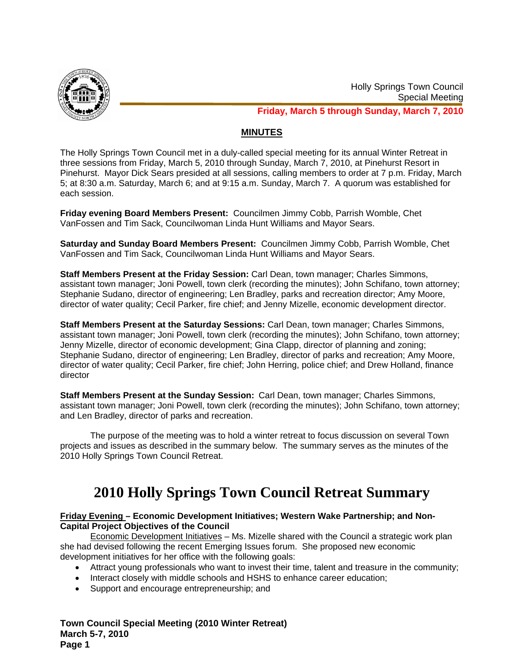

## **MINUTES**

The Holly Springs Town Council met in a duly-called special meeting for its annual Winter Retreat in three sessions from Friday, March 5, 2010 through Sunday, March 7, 2010, at Pinehurst Resort in Pinehurst. Mayor Dick Sears presided at all sessions, calling members to order at 7 p.m. Friday, March 5; at 8:30 a.m. Saturday, March 6; and at 9:15 a.m. Sunday, March 7. A quorum was established for each session.

**Friday evening Board Members Present:** Councilmen Jimmy Cobb, Parrish Womble, Chet VanFossen and Tim Sack, Councilwoman Linda Hunt Williams and Mayor Sears.

**Saturday and Sunday Board Members Present:** Councilmen Jimmy Cobb, Parrish Womble, Chet VanFossen and Tim Sack, Councilwoman Linda Hunt Williams and Mayor Sears.

**Staff Members Present at the Friday Session:** Carl Dean, town manager; Charles Simmons, assistant town manager; Joni Powell, town clerk (recording the minutes); John Schifano, town attorney; Stephanie Sudano, director of engineering; Len Bradley, parks and recreation director; Amy Moore, director of water quality; Cecil Parker, fire chief; and Jenny Mizelle, economic development director.

**Staff Members Present at the Saturday Sessions:** Carl Dean, town manager; Charles Simmons, assistant town manager; Joni Powell, town clerk (recording the minutes); John Schifano, town attorney; Jenny Mizelle, director of economic development; Gina Clapp, director of planning and zoning; Stephanie Sudano, director of engineering; Len Bradley, director of parks and recreation; Amy Moore, director of water quality; Cecil Parker, fire chief; John Herring, police chief; and Drew Holland, finance director

**Staff Members Present at the Sunday Session:** Carl Dean, town manager; Charles Simmons, assistant town manager; Joni Powell, town clerk (recording the minutes); John Schifano, town attorney; and Len Bradley, director of parks and recreation.

 The purpose of the meeting was to hold a winter retreat to focus discussion on several Town projects and issues as described in the summary below. The summary serves as the minutes of the 2010 Holly Springs Town Council Retreat.

# **2010 Holly Springs Town Council Retreat Summary**

### **Friday Evening – Economic Development Initiatives; Western Wake Partnership; and Non-Capital Project Objectives of the Council**

Economic Development Initiatives – Ms. Mizelle shared with the Council a strategic work plan she had devised following the recent Emerging Issues forum. She proposed new economic development initiatives for her office with the following goals:

- Attract young professionals who want to invest their time, talent and treasure in the community;
- Interact closely with middle schools and HSHS to enhance career education;
- Support and encourage entrepreneurship; and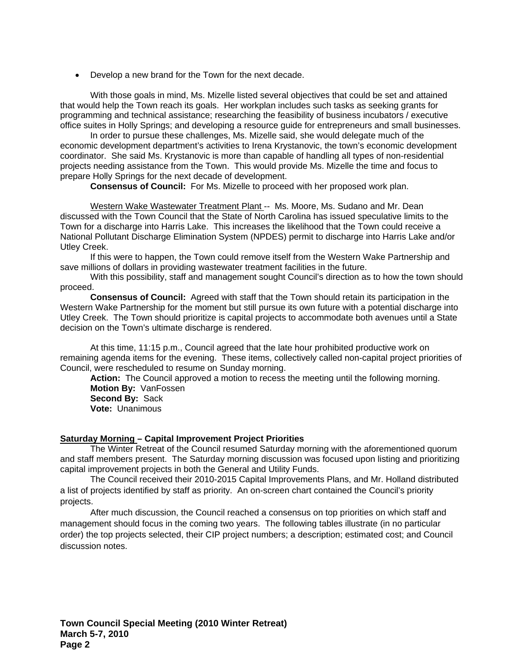• Develop a new brand for the Town for the next decade.

With those goals in mind, Ms. Mizelle listed several objectives that could be set and attained that would help the Town reach its goals. Her workplan includes such tasks as seeking grants for programming and technical assistance; researching the feasibility of business incubators / executive office suites in Holly Springs; and developing a resource guide for entrepreneurs and small businesses.

In order to pursue these challenges, Ms. Mizelle said, she would delegate much of the economic development department's activities to Irena Krystanovic, the town's economic development coordinator. She said Ms. Krystanovic is more than capable of handling all types of non-residential projects needing assistance from the Town. This would provide Ms. Mizelle the time and focus to prepare Holly Springs for the next decade of development.

**Consensus of Council:** For Ms. Mizelle to proceed with her proposed work plan.

Western Wake Wastewater Treatment Plant -- Ms. Moore, Ms. Sudano and Mr. Dean discussed with the Town Council that the State of North Carolina has issued speculative limits to the Town for a discharge into Harris Lake. This increases the likelihood that the Town could receive a National Pollutant Discharge Elimination System (NPDES) permit to discharge into Harris Lake and/or Utley Creek.

If this were to happen, the Town could remove itself from the Western Wake Partnership and save millions of dollars in providing wastewater treatment facilities in the future.

With this possibility, staff and management sought Council's direction as to how the town should proceed.

**Consensus of Council:** Agreed with staff that the Town should retain its participation in the Western Wake Partnership for the moment but still pursue its own future with a potential discharge into Utley Creek. The Town should prioritize is capital projects to accommodate both avenues until a State decision on the Town's ultimate discharge is rendered.

At this time, 11:15 p.m., Council agreed that the late hour prohibited productive work on remaining agenda items for the evening. These items, collectively called non-capital project priorities of Council, were rescheduled to resume on Sunday morning.

**Action:** The Council approved a motion to recess the meeting until the following morning. **Motion By:** VanFossen **Second By:** Sack **Vote:** Unanimous

# **Saturday Morning – Capital Improvement Project Priorities**

 The Winter Retreat of the Council resumed Saturday morning with the aforementioned quorum and staff members present. The Saturday morning discussion was focused upon listing and prioritizing capital improvement projects in both the General and Utility Funds.

The Council received their 2010-2015 Capital Improvements Plans, and Mr. Holland distributed a list of projects identified by staff as priority. An on-screen chart contained the Council's priority projects.

After much discussion, the Council reached a consensus on top priorities on which staff and management should focus in the coming two years. The following tables illustrate (in no particular order) the top projects selected, their CIP project numbers; a description; estimated cost; and Council discussion notes.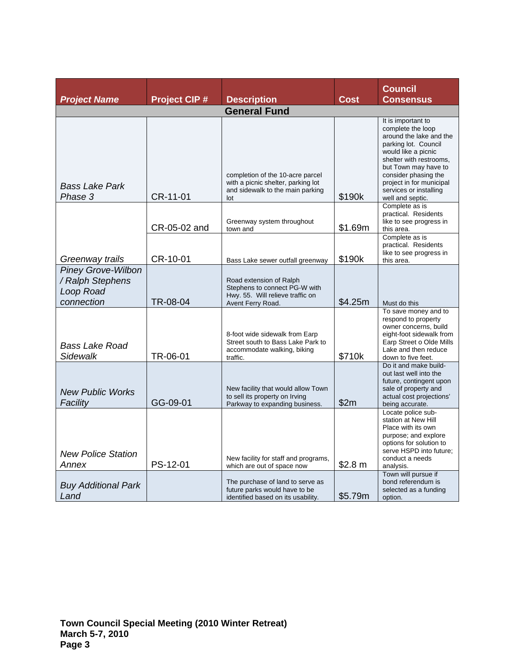|                                                                          |                     |                                                                                                                   |             | <b>Council</b>                                                                                                                                                                                                                                                         |  |  |  |
|--------------------------------------------------------------------------|---------------------|-------------------------------------------------------------------------------------------------------------------|-------------|------------------------------------------------------------------------------------------------------------------------------------------------------------------------------------------------------------------------------------------------------------------------|--|--|--|
| <b>Project Name</b>                                                      | <b>Project CIP#</b> | <b>Description</b>                                                                                                | <b>Cost</b> | <b>Consensus</b>                                                                                                                                                                                                                                                       |  |  |  |
| <b>General Fund</b>                                                      |                     |                                                                                                                   |             |                                                                                                                                                                                                                                                                        |  |  |  |
| <b>Bass Lake Park</b><br>Phase 3                                         | CR-11-01            | completion of the 10-acre parcel<br>with a picnic shelter, parking lot<br>and sidewalk to the main parking<br>lot | \$190k      | It is important to<br>complete the loop<br>around the lake and the<br>parking lot. Council<br>would like a picnic<br>shelter with restrooms,<br>but Town may have to<br>consider phasing the<br>project in for municipal<br>services or installing<br>well and septic. |  |  |  |
|                                                                          | CR-05-02 and        | Greenway system throughout<br>town and                                                                            | \$1.69m     | Complete as is<br>practical. Residents<br>like to see progress in<br>this area.                                                                                                                                                                                        |  |  |  |
| Greenway trails                                                          | CR-10-01            | Bass Lake sewer outfall greenway                                                                                  | \$190k      | Complete as is<br>practical. Residents<br>like to see progress in<br>this area.                                                                                                                                                                                        |  |  |  |
| <b>Piney Grove-Wilbon</b><br>/ Ralph Stephens<br>Loop Road<br>connection | TR-08-04            | Road extension of Ralph<br>Stephens to connect PG-W with<br>Hwy. 55. Will relieve traffic on<br>Avent Ferry Road. | \$4.25m     | Must do this                                                                                                                                                                                                                                                           |  |  |  |
| <b>Bass Lake Road</b><br>Sidewalk                                        | TR-06-01            | 8-foot wide sidewalk from Earp<br>Street south to Bass Lake Park to<br>accommodate walking, biking<br>traffic.    | \$710k      | To save money and to<br>respond to property<br>owner concerns, build<br>eight-foot sidewalk from<br>Earp Street o Olde Mills<br>Lake and then reduce<br>down to five feet.                                                                                             |  |  |  |
| <b>New Public Works</b><br>Facility                                      | GG-09-01            | New facility that would allow Town<br>to sell its property on Irving<br>Parkway to expanding business.            | \$2m        | Do it and make build-<br>out last well into the<br>future, contingent upon<br>sale of property and<br>actual cost projections'<br>being accurate.                                                                                                                      |  |  |  |
| <b>New Police Station</b><br>Annex                                       | PS-12-01            | New facility for staff and programs,<br>which are out of space now                                                | \$2.8 m     | Locate police sub-<br>station at New Hill<br>Place with its own<br>purpose; and explore<br>options for solution to<br>serve HSPD into future;<br>conduct a needs<br>analysis.<br>Town will pursue if                                                                   |  |  |  |
| <b>Buy Additional Park</b><br>Land                                       |                     | The purchase of land to serve as<br>future parks would have to be<br>identified based on its usability.           | \$5.79m     | bond referendum is<br>selected as a funding<br>option.                                                                                                                                                                                                                 |  |  |  |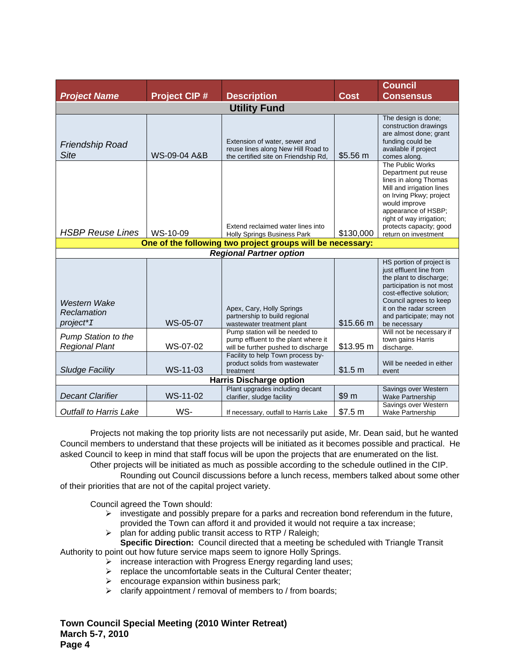|                                                     |                     |                                                                                                              |             | <b>Council</b>                                                                                                                                                                                                                                   |  |  |
|-----------------------------------------------------|---------------------|--------------------------------------------------------------------------------------------------------------|-------------|--------------------------------------------------------------------------------------------------------------------------------------------------------------------------------------------------------------------------------------------------|--|--|
| <b>Project Name</b>                                 | <b>Project CIP#</b> | <b>Description</b>                                                                                           | <b>Cost</b> | <b>Consensus</b>                                                                                                                                                                                                                                 |  |  |
| <b>Utility Fund</b>                                 |                     |                                                                                                              |             |                                                                                                                                                                                                                                                  |  |  |
| <b>Friendship Road</b><br><b>Site</b>               | WS-09-04 A&B        | Extension of water, sewer and<br>reuse lines along New Hill Road to<br>the certified site on Friendship Rd,  | \$5.56 m    | The design is done;<br>construction drawings<br>are almost done; grant<br>funding could be<br>available if project<br>comes along.                                                                                                               |  |  |
| <b>HSBP Reuse Lines</b>                             | WS-10-09            | Extend reclaimed water lines into<br><b>Holly Springs Business Park</b>                                      | \$130,000   | The Public Works<br>Department put reuse<br>lines in along Thomas<br>Mill and irrigation lines<br>on Irving Pkwy; project<br>would improve<br>appearance of HSBP;<br>right of way irrigation;<br>protects capacity; good<br>return on investment |  |  |
|                                                     |                     | One of the following two project groups will be necessary:                                                   |             |                                                                                                                                                                                                                                                  |  |  |
| <b>Regional Partner option</b>                      |                     |                                                                                                              |             |                                                                                                                                                                                                                                                  |  |  |
| Western Wake                                        |                     | Apex, Cary, Holly Springs                                                                                    |             | HS portion of project is<br>just effluent line from<br>the plant to discharge;<br>participation is not most<br>cost-effective solution;<br>Council agrees to keep<br>it on the radar screen                                                      |  |  |
| Reclamation<br>project*I                            | WS-05-07            | partnership to build regional<br>wastewater treatment plant                                                  | \$15.66 m   | and participate; may not<br>be necessary                                                                                                                                                                                                         |  |  |
| <b>Pump Station to the</b><br><b>Regional Plant</b> | WS-07-02            | Pump station will be needed to<br>pump effluent to the plant where it<br>will be further pushed to discharge | \$13.95 m   | Will not be necessary if<br>town gains Harris<br>discharge.                                                                                                                                                                                      |  |  |
| <b>Sludge Facility</b>                              | WS-11-03            | Facility to help Town process by-<br>product solids from wastewater<br>treatment                             | \$1.5 m     | Will be needed in either<br>event                                                                                                                                                                                                                |  |  |
| <b>Harris Discharge option</b>                      |                     |                                                                                                              |             |                                                                                                                                                                                                                                                  |  |  |
| <b>Decant Clarifier</b>                             | WS-11-02            | Plant upgrades including decant<br>clarifier, sludge facility                                                | \$9 m       | Savings over Western<br><b>Wake Partnership</b>                                                                                                                                                                                                  |  |  |
| <b>Outfall to Harris Lake</b>                       | WS-                 | If necessary, outfall to Harris Lake                                                                         | \$7.5 m     | Savings over Western<br><b>Wake Partnership</b>                                                                                                                                                                                                  |  |  |

Projects not making the top priority lists are not necessarily put aside, Mr. Dean said, but he wanted Council members to understand that these projects will be initiated as it becomes possible and practical. He asked Council to keep in mind that staff focus will be upon the projects that are enumerated on the list.

Other projects will be initiated as much as possible according to the schedule outlined in the CIP. Rounding out Council discussions before a lunch recess, members talked about some other

of their priorities that are not of the capital project variety.

Council agreed the Town should:

- $\triangleright$  investigate and possibly prepare for a parks and recreation bond referendum in the future, provided the Town can afford it and provided it would not require a tax increase;
- $\triangleright$  plan for adding public transit access to RTP / Raleigh;
- **Specific Direction:** Council directed that a meeting be scheduled with Triangle Transit Authority to point out how future service maps seem to ignore Holly Springs.
	- ¾ increase interaction with Progress Energy regarding land uses;
		- $\triangleright$  replace the uncomfortable seats in the Cultural Center theater;
		- $\triangleright$  encourage expansion within business park;
		- $\triangleright$  clarify appointment / removal of members to / from boards;

**Town Council Special Meeting (2010 Winter Retreat) March 5-7, 2010 Page 4**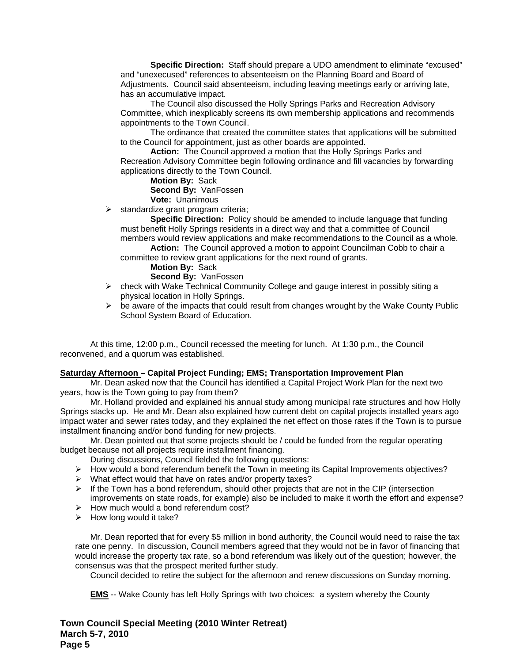**Specific Direction:** Staff should prepare a UDO amendment to eliminate "excused" and "unexecused" references to absenteeism on the Planning Board and Board of Adjustments. Council said absenteeism, including leaving meetings early or arriving late, has an accumulative impact.

The Council also discussed the Holly Springs Parks and Recreation Advisory Committee, which inexplicably screens its own membership applications and recommends appointments to the Town Council.

The ordinance that created the committee states that applications will be submitted to the Council for appointment, just as other boards are appointed.

**Action:** The Council approved a motion that the Holly Springs Parks and Recreation Advisory Committee begin following ordinance and fill vacancies by forwarding applications directly to the Town Council.

**Motion By:** Sack

**Second By:** VanFossen

**Vote:** Unanimous

 $\triangleright$  standardize grant program criteria;

**Specific Direction:** Policy should be amended to include language that funding must benefit Holly Springs residents in a direct way and that a committee of Council members would review applications and make recommendations to the Council as a whole.

**Action:** The Council approved a motion to appoint Councilman Cobb to chair a committee to review grant applications for the next round of grants.

#### **Motion By:** Sack

**Second By:** VanFossen

- $\triangleright$  check with Wake Technical Community College and gauge interest in possibly siting a physical location in Holly Springs.
- $\triangleright$  be aware of the impacts that could result from changes wrought by the Wake County Public School System Board of Education.

At this time, 12:00 p.m., Council recessed the meeting for lunch. At 1:30 p.m., the Council reconvened, and a quorum was established.

### **Saturday Afternoon – Capital Project Funding; EMS; Transportation Improvement Plan**

 Mr. Dean asked now that the Council has identified a Capital Project Work Plan for the next two years, how is the Town going to pay from them?

 Mr. Holland provided and explained his annual study among municipal rate structures and how Holly Springs stacks up. He and Mr. Dean also explained how current debt on capital projects installed years ago impact water and sewer rates today, and they explained the net effect on those rates if the Town is to pursue installment financing and/or bond funding for new projects.

 Mr. Dean pointed out that some projects should be / could be funded from the regular operating budget because not all projects require installment financing.

- During discussions, Council fielded the following questions:
- ¾ How would a bond referendum benefit the Town in meeting its Capital Improvements objectives?
- $\triangleright$  What effect would that have on rates and/or property taxes?
- $\triangleright$  If the Town has a bond referendum, should other projects that are not in the CIP (intersection improvements on state roads, for example) also be included to make it worth the effort and expense?
- $\triangleright$  How much would a bond referendum cost?
- $\triangleright$  How long would it take?

Mr. Dean reported that for every \$5 million in bond authority, the Council would need to raise the tax rate one penny. In discussion, Council members agreed that they would not be in favor of financing that would increase the property tax rate, so a bond referendum was likely out of the question; however, the consensus was that the prospect merited further study.

Council decided to retire the subject for the afternoon and renew discussions on Sunday morning.

**EMS** -- Wake County has left Holly Springs with two choices: a system whereby the County

**Town Council Special Meeting (2010 Winter Retreat) March 5-7, 2010 Page 5**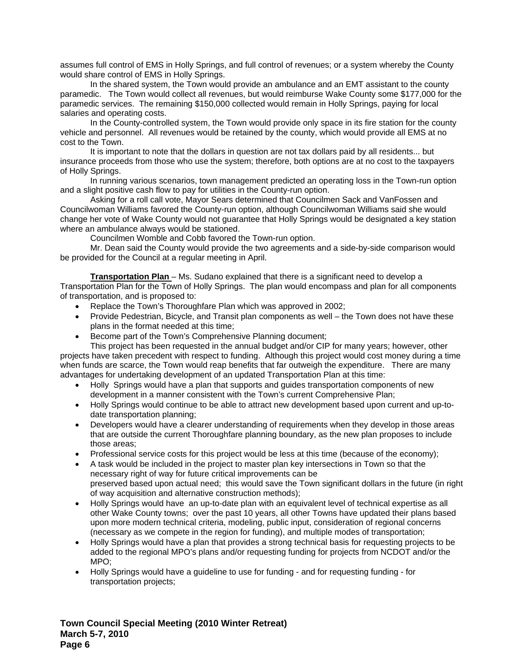assumes full control of EMS in Holly Springs, and full control of revenues; or a system whereby the County would share control of EMS in Holly Springs.

 In the shared system, the Town would provide an ambulance and an EMT assistant to the county paramedic. The Town would collect all revenues, but would reimburse Wake County some \$177,000 for the paramedic services. The remaining \$150,000 collected would remain in Holly Springs, paying for local salaries and operating costs.

 In the County-controlled system, the Town would provide only space in its fire station for the county vehicle and personnel. All revenues would be retained by the county, which would provide all EMS at no cost to the Town.

It is important to note that the dollars in question are not tax dollars paid by all residents... but insurance proceeds from those who use the system; therefore, both options are at no cost to the taxpayers of Holly Springs.

 In running various scenarios, town management predicted an operating loss in the Town-run option and a slight positive cash flow to pay for utilities in the County-run option.

 Asking for a roll call vote, Mayor Sears determined that Councilmen Sack and VanFossen and Councilwoman Williams favored the County-run option, although Councilwoman Williams said she would change her vote of Wake County would not guarantee that Holly Springs would be designated a key station where an ambulance always would be stationed.

Councilmen Womble and Cobb favored the Town-run option.

 Mr. Dean said the County would provide the two agreements and a side-by-side comparison would be provided for the Council at a regular meeting in April.

**Transportation Plan** – Ms. Sudano explained that there is a significant need to develop a Transportation Plan for the Town of Holly Springs. The plan would encompass and plan for all components of transportation, and is proposed to:

- Replace the Town's Thoroughfare Plan which was approved in 2002;
- Provide Pedestrian, Bicycle, and Transit plan components as well the Town does not have these plans in the format needed at this time;
- Become part of the Town's Comprehensive Planning document;

 This project has been requested in the annual budget and/or CIP for many years; however, other projects have taken precedent with respect to funding. Although this project would cost money during a time when funds are scarce, the Town would reap benefits that far outweigh the expenditure. There are many advantages for undertaking development of an updated Transportation Plan at this time:

- Holly Springs would have a plan that supports and guides transportation components of new development in a manner consistent with the Town's current Comprehensive Plan;
- Holly Springs would continue to be able to attract new development based upon current and up-todate transportation planning;
- Developers would have a clearer understanding of requirements when they develop in those areas that are outside the current Thoroughfare planning boundary, as the new plan proposes to include those areas;
- Professional service costs for this project would be less at this time (because of the economy);
- A task would be included in the project to master plan key intersections in Town so that the necessary right of way for future critical improvements can be preserved based upon actual need; this would save the Town significant dollars in the future (in right of way acquisition and alternative construction methods);
- Holly Springs would have an up-to-date plan with an equivalent level of technical expertise as all other Wake County towns; over the past 10 years, all other Towns have updated their plans based upon more modern technical criteria, modeling, public input, consideration of regional concerns (necessary as we compete in the region for funding), and multiple modes of transportation;
- Holly Springs would have a plan that provides a strong technical basis for requesting projects to be added to the regional MPO's plans and/or requesting funding for projects from NCDOT and/or the MPO;
- Holly Springs would have a guideline to use for funding and for requesting funding for transportation projects;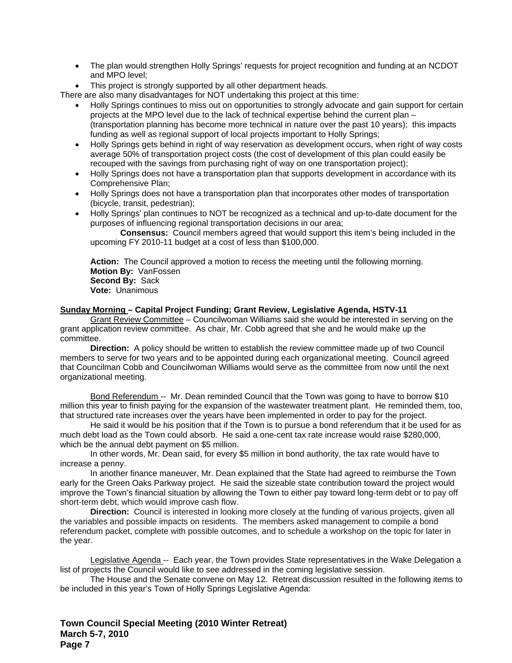- The plan would strengthen Holly Springs' requests for project recognition and funding at an NCDOT and MPO level;
- This project is strongly supported by all other department heads.

There are also many disadvantages for NOT undertaking this project at this time:

- Holly Springs continues to miss out on opportunities to strongly advocate and gain support for certain projects at the MPO level due to the lack of technical expertise behind the current plan – (transportation planning has become more technical in nature over the past 10 years); this impacts funding as well as regional support of local projects important to Holly Springs;
- Holly Springs gets behind in right of way reservation as development occurs, when right of way costs average 50% of transportation project costs (the cost of development of this plan could easily be recouped with the savings from purchasing right of way on one transportation project);
- Holly Springs does not have a transportation plan that supports development in accordance with its Comprehensive Plan;
- Holly Springs does not have a transportation plan that incorporates other modes of transportation (bicycle, transit, pedestrian);
- Holly Springs' plan continues to NOT be recognized as a technical and up-to-date document for the purposes of influencing regional transportation decisions in our area;

**Consensus:** Council members agreed that would support this item's being included in the upcoming FY 2010-11 budget at a cost of less than \$100,000.

**Action:** The Council approved a motion to recess the meeting until the following morning. **Motion By:** VanFossen **Second By:** Sack **Vote:** Unanimous

### **Sunday Morning – Capital Project Funding; Grant Review, Legislative Agenda, HSTV-11**

Grant Review Committee – Councilwoman Williams said she would be interested in serving on the grant application review committee. As chair, Mr. Cobb agreed that she and he would make up the committee.

**Direction:** A policy should be written to establish the review committee made up of two Council members to serve for two years and to be appointed during each organizational meeting. Council agreed that Councilman Cobb and Councilwoman Williams would serve as the committee from now until the next organizational meeting.

Bond Referendum -- Mr. Dean reminded Council that the Town was going to have to borrow \$10 million this year to finish paying for the expansion of the wastewater treatment plant. He reminded them, too, that structured rate increases over the years have been implemented in order to pay for the project.

He said it would be his position that if the Town is to pursue a bond referendum that it be used for as much debt load as the Town could absorb. He said a one-cent tax rate increase would raise \$280,000, which be the annual debt payment on \$5 million.

In other words, Mr. Dean said, for every \$5 million in bond authority, the tax rate would have to increase a penny.

In another finance maneuver, Mr. Dean explained that the State had agreed to reimburse the Town early for the Green Oaks Parkway project. He said the sizeable state contribution toward the project would improve the Town's financial situation by allowing the Town to either pay toward long-term debt or to pay off short-term debt, which would improve cash flow.

**Direction:** Council is interested in looking more closely at the funding of various projects, given all the variables and possible impacts on residents. The members asked management to compile a bond referendum packet, complete with possible outcomes, and to schedule a workshop on the topic for later in the year.

Legislative Agenda -- Each year, the Town provides State representatives in the Wake Delegation a list of projects the Council would like to see addressed in the coming legislative session.

 The House and the Senate convene on May 12. Retreat discussion resulted in the following items to be included in this year's Town of Holly Springs Legislative Agenda: